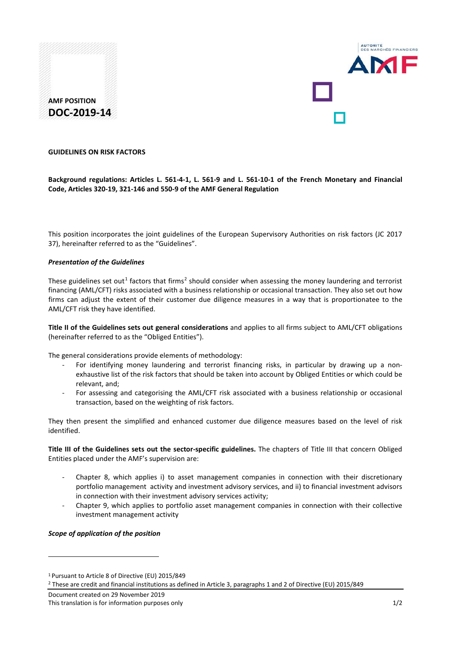



#### **GUIDELINES ON RISK FACTORS**

# **Background regulations: Articles L. 561-4-1, L. 561-9 and L. 561-10-1 of the French Monetary and Financial Code, Articles 320-19, 321-146 and 550-9 of the AMF General Regulation**

This position incorporates the joint guidelines of the European Supervisory Authorities on risk factors (JC 2017 37), hereinafter referred to as the "Guidelines".

#### *Presentation of the Guidelines*

These guidelines set out<sup>[1](#page-0-0)</sup> factors that firms<sup>[2](#page-0-1)</sup> should consider when assessing the money laundering and terrorist financing (AML/CFT) risks associated with a business relationship or occasional transaction. They also set out how firms can adjust the extent of their customer due diligence measures in a way that is proportionatee to the AML/CFT risk they have identified.

**Title II of the Guidelines sets out general considerations** and applies to all firms subject to AML/CFT obligations (hereinafter referred to as the "Obliged Entities").

The general considerations provide elements of methodology:

- For identifying money laundering and terrorist financing risks, in particular by drawing up a nonexhaustive list of the risk factors that should be taken into account by Obliged Entities or which could be relevant, and;
- For assessing and categorising the AML/CFT risk associated with a business relationship or occasional transaction, based on the weighting of risk factors.

They then present the simplified and enhanced customer due diligence measures based on the level of risk identified.

**Title III of the Guidelines sets out the sector-specific guidelines.** The chapters of Title III that concern Obliged Entities placed under the AMF's supervision are:

- Chapter 8, which applies i) to asset management companies in connection with their discretionary portfolio management activity and investment advisory services, and ii) to financial investment advisors in connection with their investment advisory services activity;
- Chapter 9, which applies to portfolio asset management companies in connection with their collective investment management activity

#### *Scope of application of the position*

<u>.</u>

Document created on 29 November 2019 This translation is for information purposes only 1/2

<span id="page-0-0"></span><sup>1</sup> Pursuant to Article 8 of Directive (EU) 2015/849

<span id="page-0-1"></span><sup>2</sup> These are credit and financial institutions as defined in Article 3, paragraphs 1 and 2 of Directive (EU) 2015/849